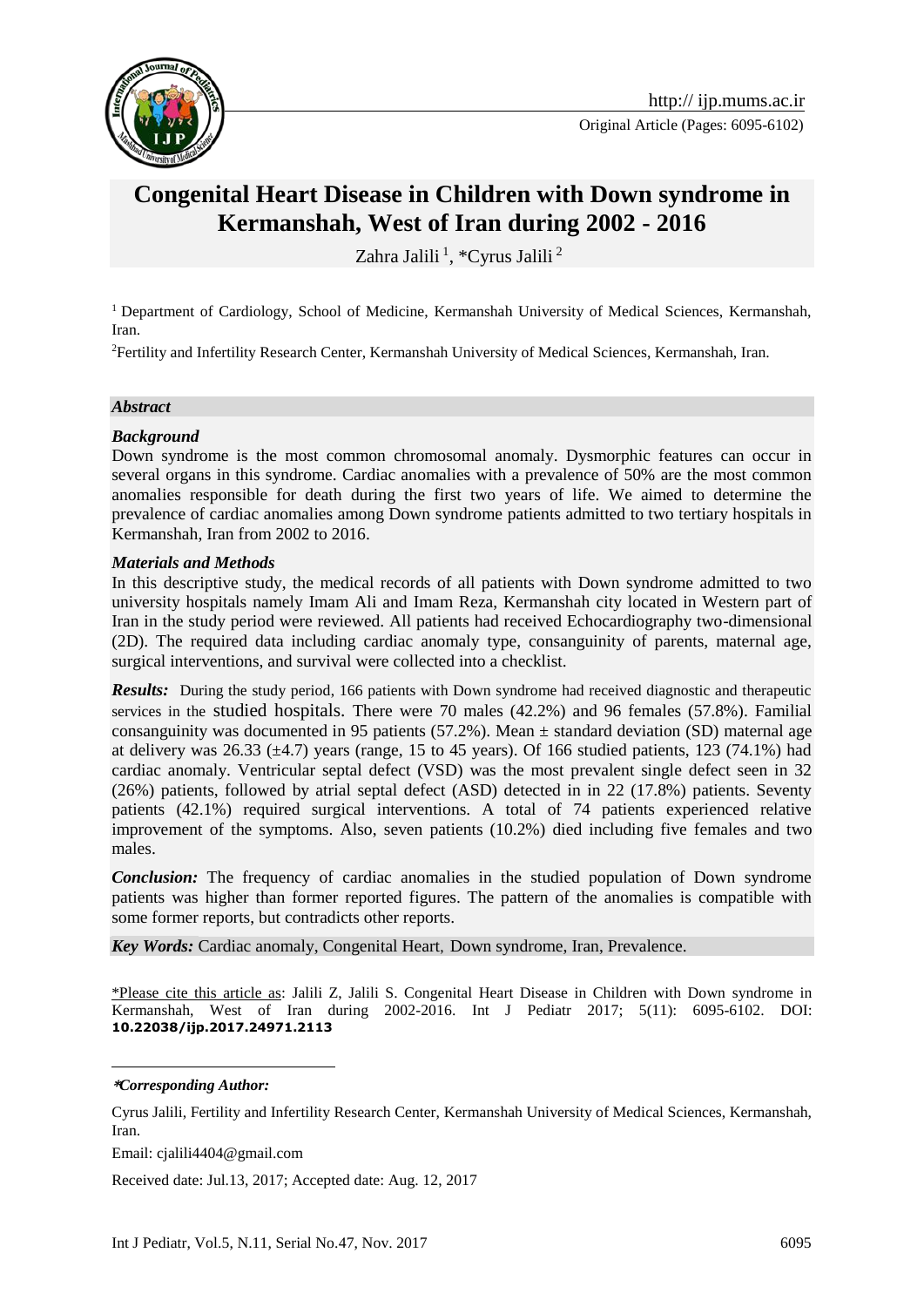

# **Congenital Heart Disease in Children with Down syndrome in Kermanshah, West of Iran during 2002 - 2016**

Zahra Jalili<sup>1</sup>, \*Cyrus Jalili<sup>2</sup>

<sup>1</sup> Department of Cardiology, School of Medicine, Kermanshah University of Medical Sciences, Kermanshah, Iran.

<sup>2</sup>Fertility and Infertility Research Center, Kermanshah University of Medical Sciences, Kermanshah, Iran.

#### *Abstract*

#### *Background*

Down syndrome is the most common chromosomal anomaly. Dysmorphic features can occur in several organs in this syndrome. Cardiac anomalies with a prevalence of 50% are the most common anomalies responsible for death during the first two years of life. We aimed to determine the prevalence of cardiac anomalies among Down syndrome patients admitted to two tertiary hospitals in Kermanshah, Iran from 2002 to 2016.

#### *Materials and Methods*

In this descriptive study, the medical records of all patients with Down syndrome admitted to two university hospitals namely Imam Ali and Imam Reza, Kermanshah city located in Western part of Iran in the study period were reviewed. All patients had received Echocardiography two-dimensional (2D). The required data including cardiac anomaly type, consanguinity of parents, maternal age, surgical interventions, and survival were collected into a checklist.

*Results:* During the study period, 166 patients with Down syndrome had received diagnostic and therapeutic services in the studied hospitals. There were 70 males (42.2%) and 96 females (57.8%). Familial consanguinity was documented in 95 patients (57.2%). Mean  $\pm$  standard deviation (SD) maternal age at delivery was  $26.33 \pm 4.7$ ) years (range, 15 to 45 years). Of 166 studied patients, 123 (74.1%) had cardiac anomaly. Ventricular septal defect (VSD) was the most prevalent single defect seen in 32 (26%) patients, followed by atrial septal defect (ASD) detected in in 22 (17.8%) patients. Seventy patients (42.1%) required surgical interventions. A total of 74 patients experienced relative improvement of the symptoms. Also, seven patients (10.2%) died including five females and two males.

*Conclusion:* The frequency of cardiac anomalies in the studied population of Down syndrome patients was higher than former reported figures. The pattern of the anomalies is compatible with some former reports, but contradicts other reports.

*Key Words:* Cardiac anomaly, Congenital Heart, Down syndrome, Iran, Prevalence.

\*Please cite this article as: Jalili Z, Jalili S. Congenital Heart Disease in Children with Down syndrome in Kermanshah, West of Iran during 2002-2016. Int J Pediatr 2017; 5(11): 6095-6102. DOI: **10.22038/ijp.2017.24971.2113**

**\****Corresponding Author:*

1

Cyrus Jalili, Fertility and Infertility Research Center, Kermanshah University of Medical Sciences, Kermanshah, Iran.

Email: cjalili4404@gmail.com

Received date: Jul.13, 2017; Accepted date: Aug. 12, 2017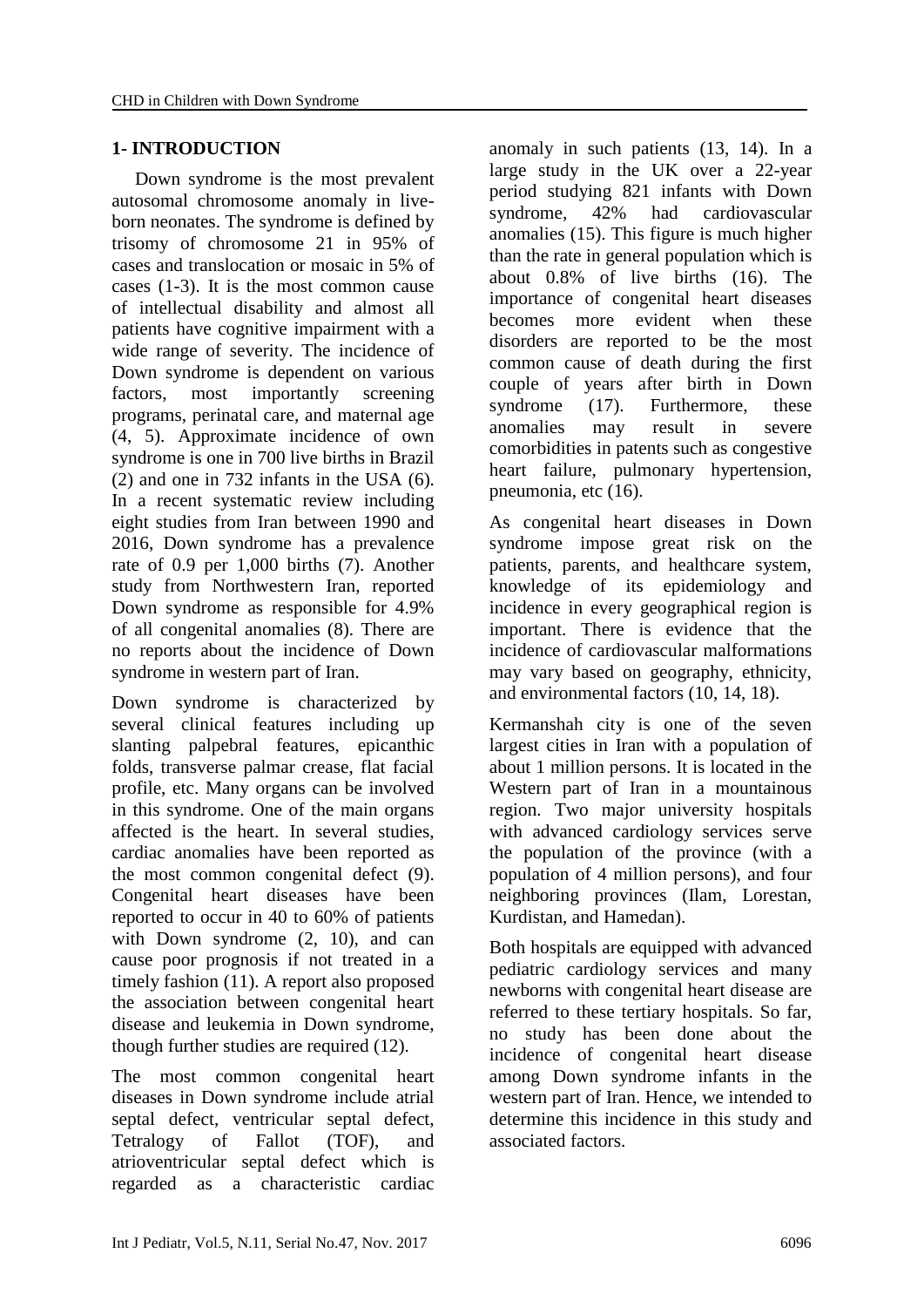# **1- INTRODUCTION**

 Down syndrome is the most prevalent autosomal chromosome anomaly in liveborn neonates. The syndrome is defined by trisomy of chromosome 21 in 95% of cases and translocation or mosaic in 5% of cases (1-3). It is the most common cause of intellectual disability and almost all patients have cognitive impairment with a wide range of severity. The incidence of Down syndrome is dependent on various factors, most importantly screening programs, perinatal care, and maternal age (4, 5). Approximate incidence of own syndrome is one in 700 live births in Brazil (2) and one in 732 infants in the USA (6). In a recent systematic review including eight studies from Iran between 1990 and 2016, Down syndrome has a prevalence rate of 0.9 per 1,000 births (7). Another study from Northwestern Iran, reported Down syndrome as responsible for 4.9% of all congenital anomalies (8). There are no reports about the incidence of Down syndrome in western part of Iran.

Down syndrome is characterized by several clinical features including up slanting palpebral features, epicanthic folds, transverse palmar crease, flat facial profile, etc. Many organs can be involved in this syndrome. One of the main organs affected is the heart. In several studies, cardiac anomalies have been reported as the most common congenital defect (9). Congenital heart diseases have been reported to occur in 40 to 60% of patients with Down syndrome (2, 10), and can cause poor prognosis if not treated in a timely fashion (11). A report also proposed the association between congenital heart disease and leukemia in Down syndrome, though further studies are required (12).

The most common congenital heart diseases in Down syndrome include atrial septal defect, ventricular septal defect, Tetralogy of Fallot (TOF), and atrioventricular septal defect which is regarded as a characteristic cardiac

anomaly in such patients (13, 14). In a large study in the UK over a 22-year period studying 821 infants with Down syndrome, 42% had cardiovascular anomalies (15). This figure is much higher than the rate in general population which is about 0.8% of live births (16). The importance of congenital heart diseases becomes more evident when these disorders are reported to be the most common cause of death during the first couple of years after birth in Down syndrome (17). Furthermore, these anomalies may result in severe comorbidities in patents such as congestive heart failure, pulmonary hypertension, pneumonia, etc (16).

As congenital heart diseases in Down syndrome impose great risk on the patients, parents, and healthcare system, knowledge of its epidemiology and incidence in every geographical region is important. There is evidence that the incidence of cardiovascular malformations may vary based on geography, ethnicity, and environmental factors (10, 14, 18).

Kermanshah city is one of the seven largest cities in Iran with a population of about 1 million persons. It is located in the Western part of Iran in a mountainous region. Two major university hospitals with advanced cardiology services serve the population of the province (with a population of 4 million persons), and four neighboring provinces (Ilam, Lorestan, Kurdistan, and Hamedan).

Both hospitals are equipped with advanced pediatric cardiology services and many newborns with congenital heart disease are referred to these tertiary hospitals. So far, no study has been done about the incidence of congenital heart disease among Down syndrome infants in the western part of Iran. Hence, we intended to determine this incidence in this study and associated factors.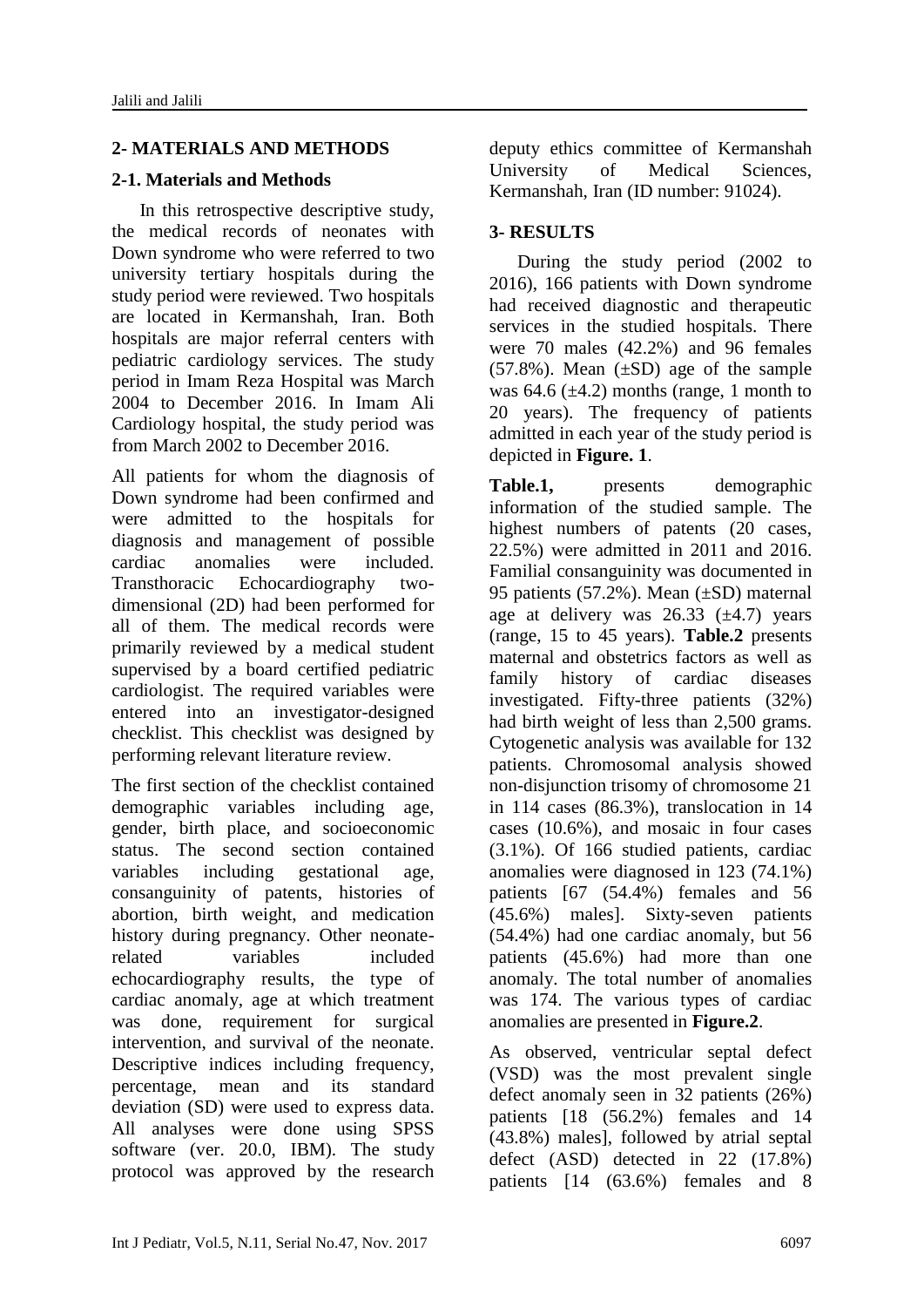# **2- MATERIALS AND METHODS**

# **2-1. Materials and Methods**

 In this retrospective descriptive study, the medical records of neonates with Down syndrome who were referred to two university tertiary hospitals during the study period were reviewed. Two hospitals are located in Kermanshah, Iran. Both hospitals are major referral centers with pediatric cardiology services. The study period in Imam Reza Hospital was March 2004 to December 2016. In Imam Ali Cardiology hospital, the study period was from March 2002 to December 2016.

All patients for whom the diagnosis of Down syndrome had been confirmed and were admitted to the hospitals for diagnosis and management of possible cardiac anomalies were included. Transthoracic Echocardiography twodimensional (2D) had been performed for all of them. The medical records were primarily reviewed by a medical student supervised by a board certified pediatric cardiologist. The required variables were entered into an investigator-designed checklist. This checklist was designed by performing relevant literature review.

The first section of the checklist contained demographic variables including age, gender, birth place, and socioeconomic status. The second section contained variables including gestational age, consanguinity of patents, histories of abortion, birth weight, and medication history during pregnancy. Other neonaterelated variables included echocardiography results, the type of cardiac anomaly, age at which treatment was done, requirement for surgical intervention, and survival of the neonate. Descriptive indices including frequency, percentage, mean and its standard deviation (SD) were used to express data. All analyses were done using SPSS software (ver. 20.0, IBM). The study protocol was approved by the research deputy ethics committee of Kermanshah University of Medical Sciences, Kermanshah, Iran (ID number: 91024).

# **3- RESULTS**

 During the study period (2002 to 2016), 166 patients with Down syndrome had received diagnostic and therapeutic services in the studied hospitals. There were 70 males (42.2%) and 96 females  $(57.8\%)$ . Mean  $(\pm SD)$  age of the sample was  $64.6 \ (\pm 4.2)$  months (range, 1 month to 20 years). The frequency of patients admitted in each year of the study period is depicted in **Figure. 1**.

**Table.1,** presents demographic information of the studied sample. The highest numbers of patents (20 cases, 22.5%) were admitted in 2011 and 2016. Familial consanguinity was documented in 95 patients (57.2%). Mean (±SD) maternal age at delivery was  $26.33 \pm 4.7$  years (range, 15 to 45 years). **Table.2** presents maternal and obstetrics factors as well as family history of cardiac diseases investigated. Fifty-three patients (32%) had birth weight of less than 2,500 grams. Cytogenetic analysis was available for 132 patients. Chromosomal analysis showed non-disjunction trisomy of chromosome 21 in 114 cases (86.3%), translocation in 14 cases (10.6%), and mosaic in four cases (3.1%). Of 166 studied patients, cardiac anomalies were diagnosed in 123 (74.1%) patients [67 (54.4%) females and 56 (45.6%) males]. Sixty-seven patients (54.4%) had one cardiac anomaly, but 56 patients (45.6%) had more than one anomaly. The total number of anomalies was 174. The various types of cardiac anomalies are presented in **Figure.2**.

As observed, ventricular septal defect (VSD) was the most prevalent single defect anomaly seen in 32 patients (26%) patients [18 (56.2%) females and 14 (43.8%) males], followed by atrial septal defect (ASD) detected in 22 (17.8%) patients [14 (63.6%) females and 8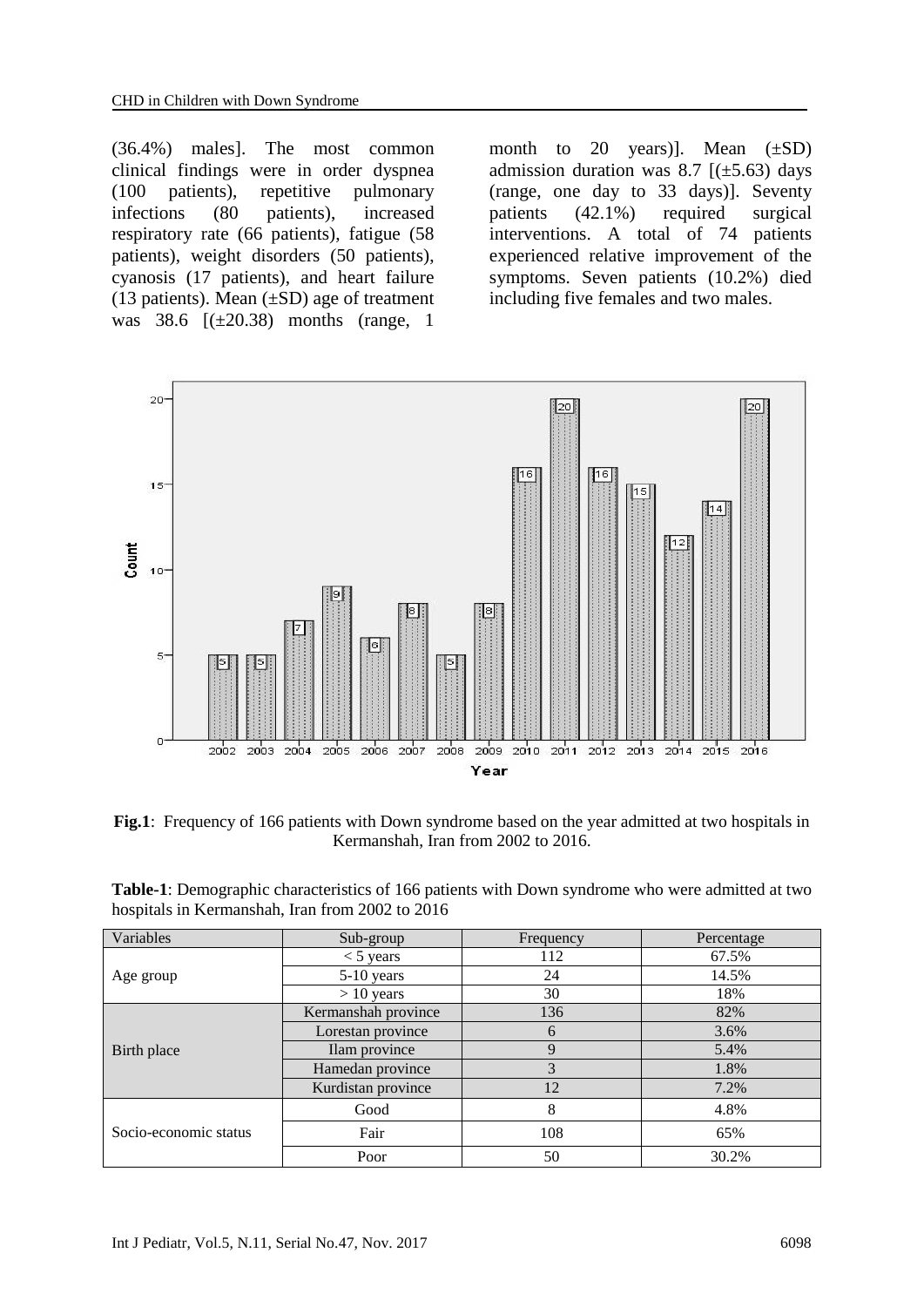(36.4%) males]. The most common clinical findings were in order dyspnea (100 patients), repetitive pulmonary infections (80 patients), increased respiratory rate (66 patients), fatigue (58 patients), weight disorders (50 patients), cyanosis (17 patients), and heart failure (13 patients). Mean  $(\pm SD)$  age of treatment was  $38.6$   $[(\pm 20.38)$  months (range, 1

month to 20 years)]. Mean  $(\pm SD)$ admission duration was 8.7  $[(\pm 5.63)$  days (range, one day to 33 days)]. Seventy patients (42.1%) required surgical interventions. A total of 74 patients experienced relative improvement of the symptoms. Seven patients (10.2%) died including five females and two males.



**Fig.1**: Frequency of 166 patients with Down syndrome based on the year admitted at two hospitals in Kermanshah, Iran from 2002 to 2016.

| Table-1: Demographic characteristics of 166 patients with Down syndrome who were admitted at two |  |
|--------------------------------------------------------------------------------------------------|--|
| hospitals in Kermanshah, Iran from 2002 to 2016                                                  |  |

| Variables             | Sub-group           | Frequency     | Percentage |  |
|-----------------------|---------------------|---------------|------------|--|
|                       | $<$ 5 years         | 112           | 67.5%      |  |
| Age group             | $5-10$ years        | 24            | 14.5%      |  |
|                       | $> 10$ years        | 30            | 18%        |  |
| Birth place           | Kermanshah province | 136           | 82%        |  |
|                       | Lorestan province   | 6             | 3.6%       |  |
|                       | Ilam province       | $\mathbf Q$   | 5.4%       |  |
|                       | Hamedan province    | $\mathcal{R}$ | 1.8%       |  |
|                       | Kurdistan province  | 12            | 7.2%       |  |
| Socio-economic status | Good                | 8             | 4.8%       |  |
|                       | Fair                | 108           | 65%        |  |
|                       | Poor                | 50            | 30.2%      |  |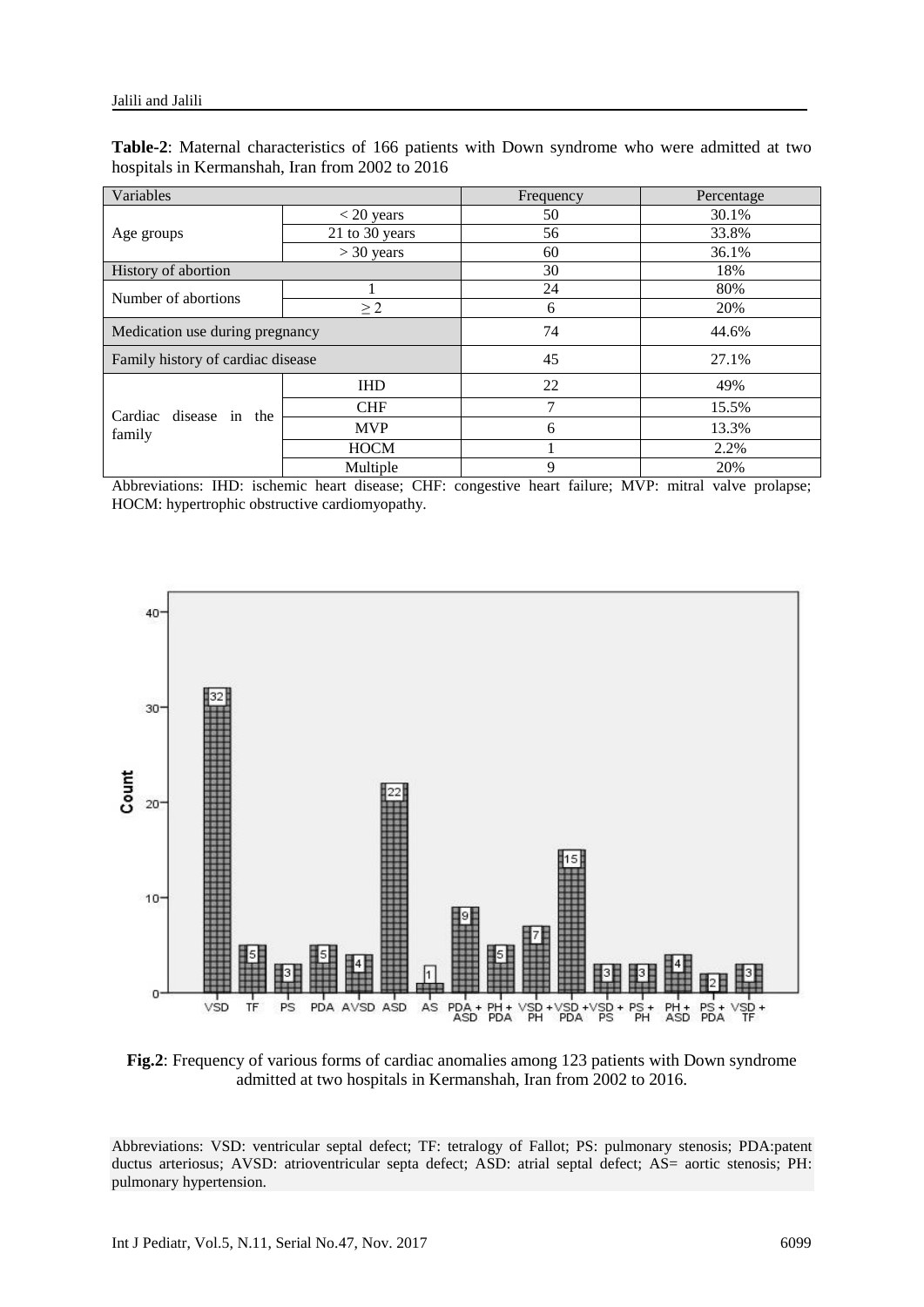| Table-2: Maternal characteristics of 166 patients with Down syndrome who were admitted at two |  |  |  |  |  |  |
|-----------------------------------------------------------------------------------------------|--|--|--|--|--|--|
| hospitals in Kermanshah, Iran from 2002 to 2016                                               |  |  |  |  |  |  |

| Variables                         |                | Frequency   | Percentage |  |
|-----------------------------------|----------------|-------------|------------|--|
|                                   | $< 20$ years   | 50          | 30.1%      |  |
| Age groups                        | 21 to 30 years | 56          | 33.8%      |  |
|                                   | $>$ 30 years   | 60          | 36.1%      |  |
| History of abortion               |                | 30          | 18%        |  |
| Number of abortions               |                | 24          | 80%        |  |
|                                   | $\geq$ 2       | 6           | 20%        |  |
| Medication use during pregnancy   |                | 74          | 44.6%      |  |
| Family history of cardiac disease |                | 45<br>27.1% |            |  |
| Cardiac disease in the<br>family  | <b>IHD</b>     | 22          | 49%        |  |
|                                   | <b>CHF</b>     | 7           | 15.5%      |  |
|                                   | <b>MVP</b>     | 6           | 13.3%      |  |
|                                   | <b>HOCM</b>    |             | 2.2%       |  |
|                                   | Multiple       | 9           | 20%        |  |

Abbreviations: IHD: ischemic heart disease; CHF: congestive heart failure; MVP: mitral valve prolapse; HOCM: hypertrophic obstructive cardiomyopathy.



**Fig.2**: Frequency of various forms of cardiac anomalies among 123 patients with Down syndrome admitted at two hospitals in Kermanshah, Iran from 2002 to 2016.

Abbreviations: VSD: ventricular septal defect; TF: tetralogy of Fallot; PS: pulmonary stenosis; PDA:patent ductus arteriosus; AVSD: atrioventricular septa defect; ASD: atrial septal defect; AS= aortic stenosis; PH: pulmonary hypertension.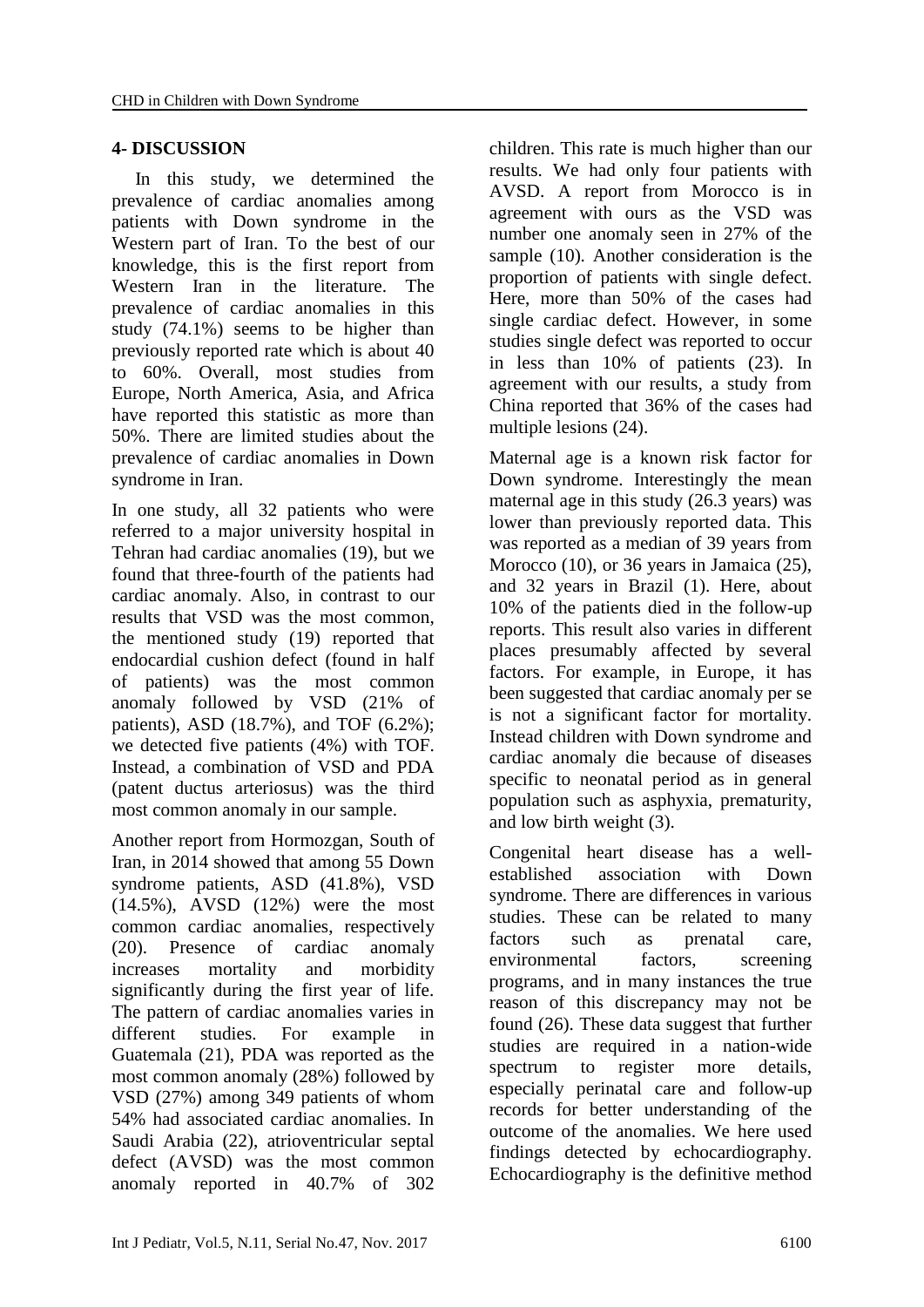# **4- DISCUSSION**

 In this study, we determined the prevalence of cardiac anomalies among patients with Down syndrome in the Western part of Iran. To the best of our knowledge, this is the first report from Western Iran in the literature. The prevalence of cardiac anomalies in this study (74.1%) seems to be higher than previously reported rate which is about 40 to 60%. Overall, most studies from Europe, North America, Asia, and Africa have reported this statistic as more than 50%. There are limited studies about the prevalence of cardiac anomalies in Down syndrome in Iran.

In one study, all 32 patients who were referred to a major university hospital in Tehran had cardiac anomalies (19), but we found that three-fourth of the patients had cardiac anomaly. Also, in contrast to our results that VSD was the most common, the mentioned study (19) reported that endocardial cushion defect (found in half of patients) was the most common anomaly followed by VSD (21% of patients), ASD (18.7%), and TOF (6.2%); we detected five patients (4%) with TOF. Instead, a combination of VSD and PDA (patent ductus arteriosus) was the third most common anomaly in our sample.

Another report from Hormozgan, South of Iran, in 2014 showed that among 55 Down syndrome patients, ASD (41.8%), VSD (14.5%), AVSD (12%) were the most common cardiac anomalies, respectively (20). Presence of cardiac anomaly increases mortality and morbidity significantly during the first year of life. The pattern of cardiac anomalies varies in different studies. For example in Guatemala (21), PDA was reported as the most common anomaly (28%) followed by VSD (27%) among 349 patients of whom 54% had associated cardiac anomalies. In Saudi Arabia (22), atrioventricular septal defect (AVSD) was the most common anomaly reported in 40.7% of 302 children. This rate is much higher than our results. We had only four patients with AVSD. A report from Morocco is in agreement with ours as the VSD was number one anomaly seen in 27% of the sample (10). Another consideration is the proportion of patients with single defect. Here, more than 50% of the cases had single cardiac defect. However, in some studies single defect was reported to occur in less than 10% of patients (23). In agreement with our results, a study from China reported that 36% of the cases had multiple lesions (24).

Maternal age is a known risk factor for Down syndrome. Interestingly the mean maternal age in this study (26.3 years) was lower than previously reported data. This was reported as a median of 39 years from Morocco (10), or 36 years in Jamaica (25), and 32 years in Brazil (1). Here, about 10% of the patients died in the follow-up reports. This result also varies in different places presumably affected by several factors. For example, in Europe, it has been suggested that cardiac anomaly per se is not a significant factor for mortality. Instead children with Down syndrome and cardiac anomaly die because of diseases specific to neonatal period as in general population such as asphyxia, prematurity, and low birth weight (3).

Congenital heart disease has a wellestablished association with Down syndrome. There are differences in various studies. These can be related to many factors such as prenatal care, environmental factors, screening programs, and in many instances the true reason of this discrepancy may not be found (26). These data suggest that further studies are required in a nation-wide spectrum to register more details, especially perinatal care and follow-up records for better understanding of the outcome of the anomalies. We here used findings detected by echocardiography. Echocardiography is the definitive method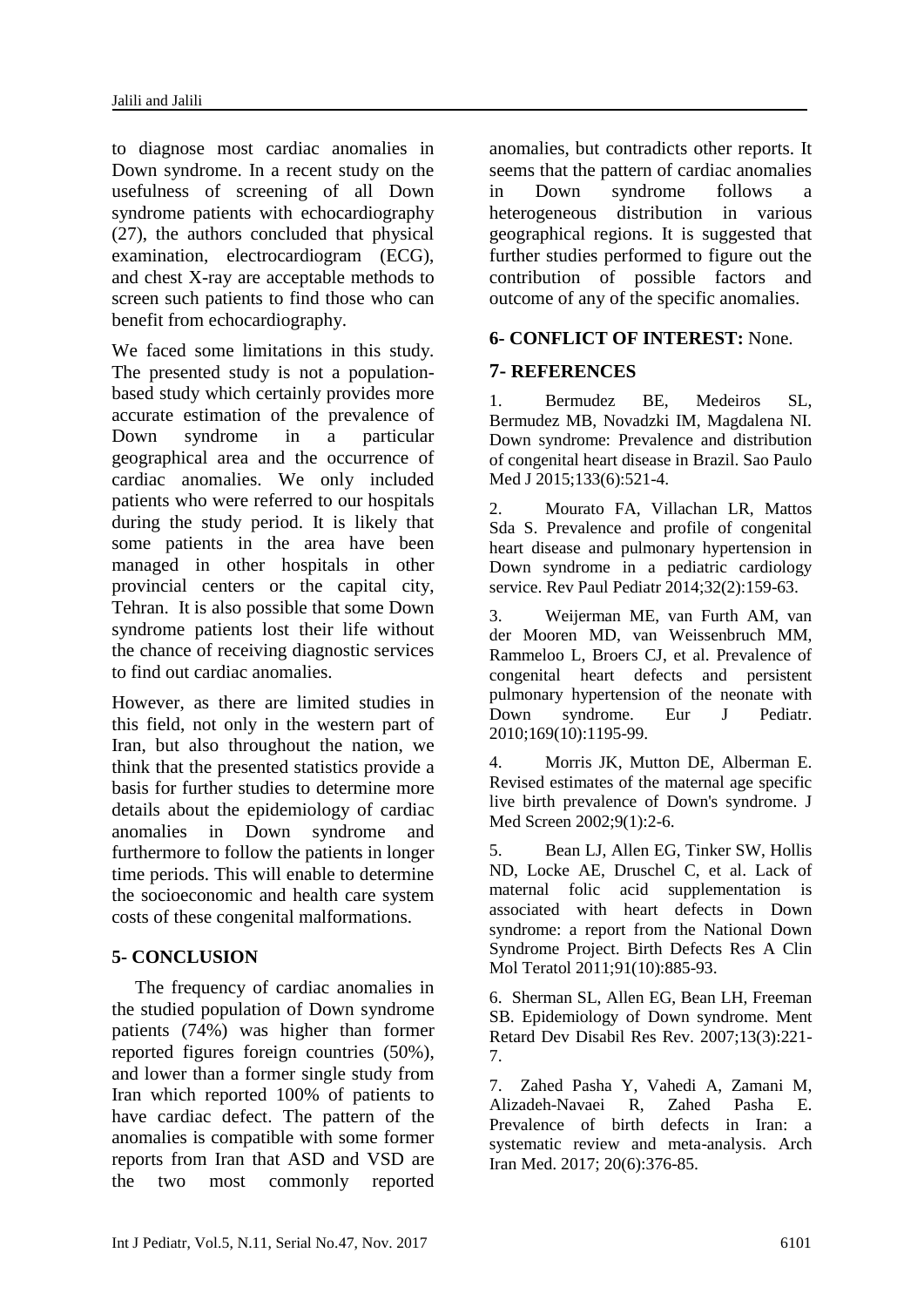to diagnose most cardiac anomalies in Down syndrome. In a recent study on the usefulness of screening of all Down syndrome patients with echocardiography (27), the authors concluded that physical examination, electrocardiogram (ECG), and chest X-ray are acceptable methods to screen such patients to find those who can benefit from echocardiography.

We faced some limitations in this study. The presented study is not a populationbased study which certainly provides more accurate estimation of the prevalence of Down syndrome in a particular geographical area and the occurrence of cardiac anomalies. We only included patients who were referred to our hospitals during the study period. It is likely that some patients in the area have been managed in other hospitals in other provincial centers or the capital city, Tehran. It is also possible that some Down syndrome patients lost their life without the chance of receiving diagnostic services to find out cardiac anomalies.

However, as there are limited studies in this field, not only in the western part of Iran, but also throughout the nation, we think that the presented statistics provide a basis for further studies to determine more details about the epidemiology of cardiac anomalies in Down syndrome and furthermore to follow the patients in longer time periods. This will enable to determine the socioeconomic and health care system costs of these congenital malformations.

### **5- CONCLUSION**

 The frequency of cardiac anomalies in the studied population of Down syndrome patients (74%) was higher than former reported figures foreign countries (50%), and lower than a former single study from Iran which reported 100% of patients to have cardiac defect. The pattern of the anomalies is compatible with some former reports from Iran that ASD and VSD are the two most commonly reported anomalies, but contradicts other reports. It seems that the pattern of cardiac anomalies in Down syndrome follows a heterogeneous distribution in various geographical regions. It is suggested that further studies performed to figure out the contribution of possible factors and outcome of any of the specific anomalies.

#### **6- CONFLICT OF INTEREST:** None.

### **7- REFERENCES**

1. Bermudez BE, Medeiros SL, Bermudez MB, Novadzki IM, Magdalena NI. Down syndrome: Prevalence and distribution of congenital heart disease in Brazil. Sao Paulo Med J 2015;133(6):521-4.

2. Mourato FA, Villachan LR, Mattos Sda S. Prevalence and profile of congenital heart disease and pulmonary hypertension in Down syndrome in a pediatric cardiology service. Rev Paul Pediatr 2014;32(2):159-63.

3. Weijerman ME, van Furth AM, van der Mooren MD, van Weissenbruch MM, Rammeloo L, Broers CJ, et al. Prevalence of congenital heart defects and persistent pulmonary hypertension of the neonate with Down syndrome. Eur J Pediatr. 2010;169(10):1195-99.

4. Morris JK, Mutton DE, Alberman E. Revised estimates of the maternal age specific live birth prevalence of Down's syndrome. J Med Screen 2002;9(1):2-6.

5. Bean LJ, Allen EG, Tinker SW, Hollis ND, Locke AE, Druschel C, et al. Lack of maternal folic acid supplementation is associated with heart defects in Down syndrome: a report from the National Down Syndrome Project. Birth Defects Res A Clin Mol Teratol 2011;91(10):885-93.

6. Sherman SL, Allen EG, Bean LH, Freeman SB. Epidemiology of Down syndrome. Ment Retard Dev Disabil Res Rev. 2007;13(3):221- 7.

7. Zahed Pasha Y, Vahedi A, Zamani M, Alizadeh-Navaei R, Zahed Pasha E. Prevalence of birth defects in Iran: a systematic review and meta-analysis. Arch Iran Med. 2017; 20(6):376-85.